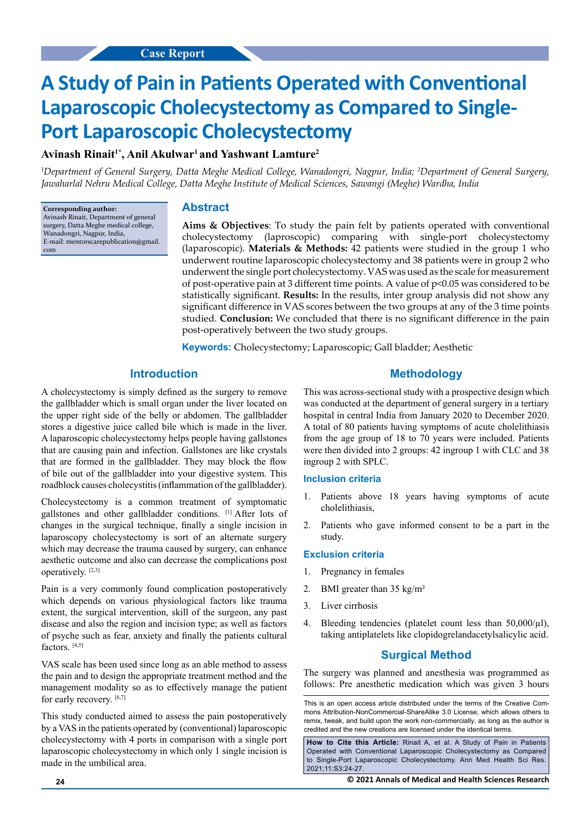# **A Study of Pain in Patients Operated with Conventional Laparoscopic Cholecystectomy as Compared to Single-Port Laparoscopic Cholecystectomy**

# Avinash Rinait<sup>1\*</sup>, Anil Akulwar<sup>1</sup> and Yashwant Lamture<sup>2</sup>

*1 Department of General Surgery, Datta Meghe Medical College, Wanadongri, Nagpur, India; 2 Department of General Surgery, Jawaharlal Nehru Medical College, Datta Meghe Institute of Medical Sciences, Sawangi (Meghe) Wardha, India*

**Corresponding author:** Avinash Rinait, Department of general surgery, Datta Meghe medical college, Wanadongri, Nagpur, India, E-mail: mentorscarepublication@gmail. com

# **Abstract**

**Aims & Objectives**: To study the pain felt by patients operated with conventional cholecystectomy (laproscopic) comparing with single-port cholecystectomy (laparoscopic). **Materials & Methods:** 42 patients were studied in the group 1 who underwent routine laparoscopic cholecystectomy and 38 patients were in group 2 who underwent the single port cholecystectomy. VAS was used as the scale for measurement of post-operative pain at 3 different time points. A value of p<0.05 was considered to be statistically significant. **Results:** In the results, inter group analysis did not show any significant difference in VAS scores between the two groups at any of the 3 time points studied. **Conclusion:** We concluded that there is no significant difference in the pain post-operatively between the two study groups.

**Keywords:** Cholecystectomy; Laparoscopic; Gall bladder; Aesthetic

## **Introduction**

A cholecystectomy is simply defined as the surgery to remove the gallbladder which is small organ under the liver located on the upper right side of the belly or abdomen. The gallbladder stores a digestive juice called bile which is made in the liver. A laparoscopic cholecystectomy helps people having gallstones that are causing pain and infection. Gallstones are like crystals that are formed in the gallbladder. They may block the flow of bile out of the gallbladder into your digestive system. This roadblock causes cholecystitis (inflammation of the gallbladder).

Cholecystectomy is a common treatment of symptomatic gallstones and other gallbladder conditions. [1] After lots of changes in the surgical technique, finally a single incision in laparoscopy cholecystectomy is sort of an alternate surgery which may decrease the trauma caused by surgery, can enhance aesthetic outcome and also can decrease the complications post operatively. [2,3]

Pain is a very commonly found complication postoperatively which depends on various physiological factors like trauma extent, the surgical intervention, skill of the surgeon, any past disease and also the region and incision type; as well as factors of psyche such as fear, anxiety and finally the patients cultural factors. [4,5]

VAS scale has been used since long as an able method to assess the pain and to design the appropriate treatment method and the management modality so as to effectively manage the patient for early recovery. [6,7]

This study conducted aimed to assess the pain postoperatively by a VAS in the patients operated by (conventional) laparoscopic cholecystectomy with 4 ports in comparison with a single port laparoscopic cholecystectomy in which only 1 single incision is made in the umbilical area.

## **Methodology**

This was across-sectional study with a prospective design which was conducted at the department of general surgery in a tertiary hospital in central India from January 2020 to December 2020. A total of 80 patients having symptoms of acute cholelithiasis from the age group of 18 to 70 years were included. Patients were then divided into 2 groups: 42 ingroup 1 with CLC and 38 ingroup 2 with SPLC.

#### **Inclusion criteria**

- 1. Patients above 18 years having symptoms of acute cholelithiasis,
- 2. Patients who gave informed consent to be a part in the study.

#### **Exclusion criteria**

- 1. Pregnancy in females
- 2. BMI greater than 35 kg/m²
- 3. Liver cirrhosis
- 4. Bleeding tendencies (platelet count less than  $50,000/\mu$ l), taking antiplatelets like clopidogrelandacetylsalicylic acid.

## **Surgical Method**

The surgery was planned and anesthesia was programmed as follows: Pre anesthetic medication which was given 3 hours

This is an open access article distributed under the terms of the Creative Commons Attribution‑NonCommercial‑ShareAlike 3.0 License, which allows others to remix, tweak, and build upon the work non‑commercially, as long as the author is credited and the new creations are licensed under the identical terms.

**How to Cite this Article:** Rinait A, et al. A Study of Pain in Patients Operated with Conventional Laparoscopic Cholecystectomy as Compared to Single-Port Laparoscopic Cholecystectomy. Ann Med Health Sci Res. 2021;11:S3:24-27.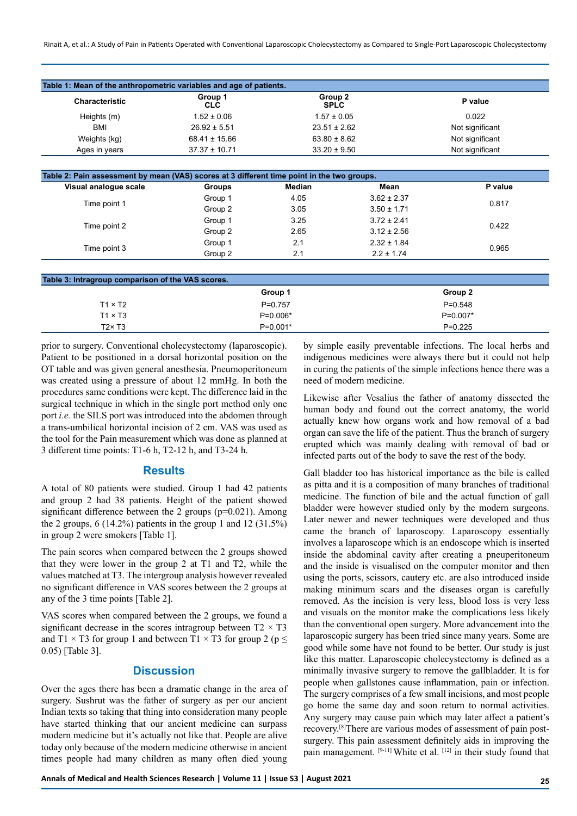Rinait A, et al.: A Study of Pain in Patients Operated with Conventional Laparoscopic Cholecystectomy as Compared to Single-Port Laparoscopic Cholecystectomy

| <b>Characteristic</b> | Group 1<br><b>CLC</b> | Group 2<br><b>SPLC</b> | P value         |
|-----------------------|-----------------------|------------------------|-----------------|
| Heights (m)           | $1.52 \pm 0.06$       | $1.57 \pm 0.05$        | 0.022           |
| <b>BMI</b>            | $26.92 \pm 5.51$      | $23.51 \pm 2.62$       | Not significant |
| Weights (kg)          | $68.41 \pm 15.66$     | $63.80 \pm 8.62$       | Not significant |
| Ages in years         | $37.37 \pm 10.71$     | $33.20 \pm 9.50$       | Not significant |

| Visual analogue scale | <b>Groups</b> | Median | Mean            | P value |
|-----------------------|---------------|--------|-----------------|---------|
|                       | Group 1       | 4.05   | $3.62 \pm 2.37$ | 0.817   |
| Time point 1          | Group 2       | 3.05   | $3.50 \pm 1.71$ |         |
|                       | Group 1       | 3.25   | $3.72 \pm 2.41$ | 0.422   |
| Time point 2          | Group 2       | 2.65   | $3.12 \pm 2.56$ |         |
|                       | Group 1       | 2.1    | $2.32 \pm 1.84$ | 0.965   |
| Time point 3          | Group 2       | 2.1    | $2.2 \pm 1.74$  |         |

| Table 3: Intragroup comparison of the VAS scores. |            |            |  |  |
|---------------------------------------------------|------------|------------|--|--|
|                                                   | Group 1    | Group 2    |  |  |
| $T1 \times T2$                                    | $P=0.757$  | $P=0.548$  |  |  |
| $T1 \times T3$                                    | $P=0.006*$ | $P=0.007*$ |  |  |
| $T2 \times T3$                                    | $P=0.001*$ | $P=0.225$  |  |  |

prior to surgery. Conventional cholecystectomy (laparoscopic). Patient to be positioned in a dorsal horizontal position on the OT table and was given general anesthesia. Pneumoperitoneum was created using a pressure of about 12 mmHg. In both the procedures same conditions were kept. The difference laid in the surgical technique in which in the single port method only one port *i.e.* the SILS port was introduced into the abdomen through a trans-umbilical horizontal incision of 2 cm. VAS was used as the tool for the Pain measurement which was done as planned at 3 different time points: T1-6 h, T2-12 h, and T3-24 h.

### **Results**

A total of 80 patients were studied. Group 1 had 42 patients and group 2 had 38 patients. Height of the patient showed significant difference between the 2 groups (p=0.021). Among the 2 groups, 6 (14.2%) patients in the group 1 and 12 (31.5%) in group 2 were smokers [Table 1].

The pain scores when compared between the 2 groups showed that they were lower in the group 2 at T1 and T2, while the values matched at T3. The intergroup analysis however revealed no significant difference in VAS scores between the 2 groups at any of the 3 time points [Table 2].

VAS scores when compared between the 2 groups, we found a significant decrease in the scores intragroup between  $T2 \times T3$ and T1  $\times$  T3 for group 1 and between T1  $\times$  T3 for group 2 (p  $\leq$ 0.05) [Table 3].

#### **Discussion**

Over the ages there has been a dramatic change in the area of surgery. Sushrut was the father of surgery as per our ancient Indian texts so taking that thing into consideration many people have started thinking that our ancient medicine can surpass modern medicine but it's actually not like that. People are alive today only because of the modern medicine otherwise in ancient times people had many children as many often died young by simple easily preventable infections. The local herbs and indigenous medicines were always there but it could not help in curing the patients of the simple infections hence there was a need of modern medicine.

Likewise after Vesalius the father of anatomy dissected the human body and found out the correct anatomy, the world actually knew how organs work and how removal of a bad organ can save the life of the patient. Thus the branch of surgery erupted which was mainly dealing with removal of bad or infected parts out of the body to save the rest of the body.

Gall bladder too has historical importance as the bile is called as pitta and it is a composition of many branches of traditional medicine. The function of bile and the actual function of gall bladder were however studied only by the modern surgeons. Later newer and newer techniques were developed and thus came the branch of laparoscopy. Laparoscopy essentially involves a laparoscope which is an endoscope which is inserted inside the abdominal cavity after creating a pneuperitoneum and the inside is visualised on the computer monitor and then using the ports, scissors, cautery etc. are also introduced inside making minimum scars and the diseases organ is carefully removed. As the incision is very less, blood loss is very less and visuals on the monitor make the complications less likely than the conventional open surgery. More advancement into the laparoscopic surgery has been tried since many years. Some are good while some have not found to be better. Our study is just like this matter. Laparoscopic cholecystectomy is defined as a minimally invasive surgery to remove the gallbladder. It is for people when gallstones cause inflammation, pain or infection. The surgery comprises of a few small incisions, and most people go home the same day and soon return to normal activities. Any surgery may cause pain which may later affect a patient's recovery.[8]There are various modes of assessment of pain postsurgery. This pain assessment definitely aids in improving the pain management. [9-11] White et al. [12] in their study found that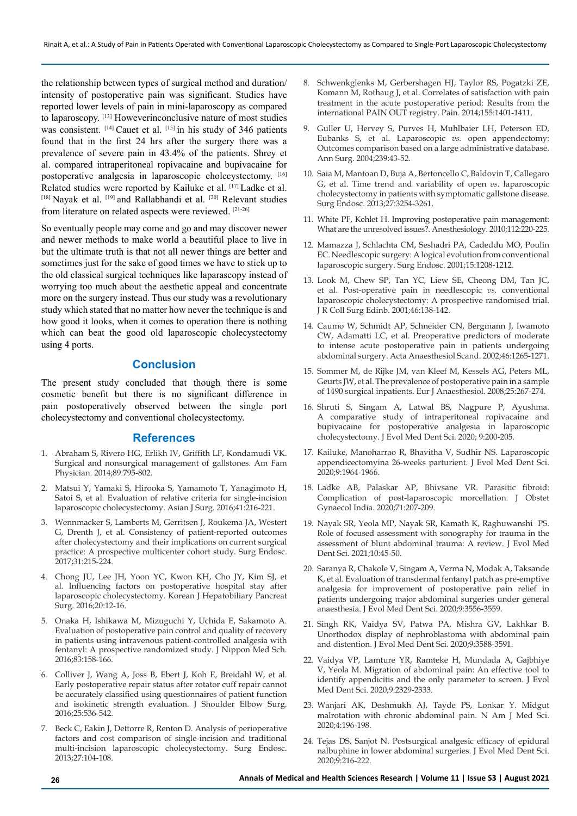the relationship between types of surgical method and duration/ intensity of postoperative pain was significant. Studies have reported lower levels of pain in mini-laparoscopy as compared to laparoscopy. [13] Howeverinconclusive nature of most studies was consistent. [14] Cauet et al. [15] in his study of 346 patients found that in the first 24 hrs after the surgery there was a prevalence of severe pain in 43.4% of the patients. Shrey et al. compared intraperitoneal ropivacaine and bupivacaine for postoperative analgesia in laparoscopic cholecystectomy. [16] Related studies were reported by Kailuke et al. [17] Ladke et al. [18] Nayak et al. [19] and Rallabhandi et al. [20] Relevant studies from literature on related aspects were reviewed. [21-26]

So eventually people may come and go and may discover newer and newer methods to make world a beautiful place to live in but the ultimate truth is that not all newer things are better and sometimes just for the sake of good times we have to stick up to the old classical surgical techniques like laparascopy instead of worrying too much about the aesthetic appeal and concentrate more on the surgery instead. Thus our study was a revolutionary study which stated that no matter how never the technique is and how good it looks, when it comes to operation there is nothing which can beat the good old laparoscopic cholecystectomy using 4 ports.

## **Conclusion**

The present study concluded that though there is some cosmetic benefit but there is no significant difference in pain postoperatively observed between the single port cholecystectomy and conventional cholecystectomy.

#### **References**

- 1. Abraham S, Rivero HG, Erlikh IV, Griffith LF, Kondamudi VK. Surgical and nonsurgical management of gallstones. Am Fam Physician. 2014;89:795-802.
- 2. Matsui Y, Yamaki S, Hirooka S, Yamamoto T, Yanagimoto H, Satoi S, et al. Evaluation of relative criteria for single-incision laparoscopic cholecystectomy. Asian J Surg. 2016;41:216-221.
- 3. Wennmacker S, Lamberts M, Gerritsen J, Roukema JA, Westert G, Drenth J, et al. Consistency of patient-reported outcomes after cholecystectomy and their implications on current surgical practice: A prospective multicenter cohort study. Surg Endosc. 2017;31:215-224.
- 4. Chong JU, Lee JH, Yoon YC, Kwon KH, Cho JY, Kim SJ, et al. Influencing factors on postoperative hospital stay after laparoscopic cholecystectomy. Korean J Hepatobiliary Pancreat Surg. 2016;20:12-16.
- 5. Onaka H, Ishikawa M, Mizuguchi Y, Uchida E, Sakamoto A. Evaluation of postoperative pain control and quality of recovery in patients using intravenous patient-controlled analgesia with fentanyl: A prospective randomized study. J Nippon Med Sch. 2016;83:158-166.
- 6. Colliver J, Wang A, Joss B, Ebert J, Koh E, Breidahl W, et al. Early postoperative repair status after rotator cuff repair cannot be accurately classified using questionnaires of patient function and isokinetic strength evaluation. J Shoulder Elbow Surg. 2016;25:536-542.
- 7. Beck C, Eakin J, Dettorre R, Renton D. Analysis of perioperative factors and cost comparison of single-incision and traditional multi-incision laparoscopic cholecystectomy. Surg Endosc. 2013;27:104-108.
- 8. Schwenkglenks M, Gerbershagen HJ, Taylor RS, Pogatzki ZE, Komann M, Rothaug J, et al. Correlates of satisfaction with pain treatment in the acute postoperative period: Results from the international PAIN OUT registry. Pain. 2014;155:1401-1411.
- 9. Guller U, Hervey S, Purves H, Muhlbaier LH, Peterson ED, Eubanks S, et al. Laparoscopic *vs.* open appendectomy: Outcomes comparison based on a large administrative database. Ann Surg. 2004;239:43-52.
- 10. Saia M, Mantoan D, Buja A, Bertoncello C, Baldovin T, Callegaro G, et al. Time trend and variability of open *vs.* laparoscopic cholecystectomy in patients with symptomatic gallstone disease. Surg Endosc. 2013;27:3254-3261.
- 11. White PF, Kehlet H. Improving postoperative pain management: What are the unresolved issues?. Anesthesiology. 2010;112:220-225.
- 12. Mamazza J, Schlachta CM, Seshadri PA, Cadeddu MO, Poulin EC. Needlescopic surgery: A logical evolution from conventional laparoscopic surgery. Surg Endosc. 2001;15:1208-1212.
- 13. Look M, Chew SP, Tan YC, Liew SE, Cheong DM, Tan JC, et al. Post-operative pain in needlescopic *vs.* conventional laparoscopic cholecystectomy: A prospective randomised trial. J R Coll Surg Edinb. 2001;46:138-142.
- 14. Caumo W, Schmidt AP, Schneider CN, Bergmann J, Iwamoto CW, Adamatti LC, et al. Preoperative predictors of moderate to intense acute postoperative pain in patients undergoing abdominal surgery. Acta Anaesthesiol Scand. 2002;46:1265-1271.
- 15. Sommer M, de Rijke JM, van Kleef M, Kessels AG, Peters ML, Geurts JW, et al. The prevalence of postoperative pain in a sample of 1490 surgical inpatients. Eur J Anaesthesiol. 2008;25:267-274.
- 16. Shruti S, Singam A, Latwal BS, Nagpure P, Ayushma. A comparative study of intraperitoneal ropivacaine and bupivacaine for postoperative analgesia in laparoscopic cholecystectomy. J Evol Med Dent Sci. 2020; 9:200-205.
- 17. Kailuke, Manoharrao R, Bhavitha V, Sudhir NS. Laparoscopic appendicectomyina 26-weeks parturient. J Evol Med Dent Sci. 2020;9:1964-1966.
- 18. Ladke AB, Palaskar AP, Bhivsane VR. Parasitic fibroid: Complication of post-laparoscopic morcellation. J Obstet Gynaecol India. 2020;71:207-209.
- 19. Nayak SR, Yeola MP, Nayak SR, Kamath K, Raghuwanshi PS. Role of focused assessment with sonography for trauma in the assessment of blunt abdominal trauma: A review. J Evol Med Dent Sci. 2021;10:45-50.
- 20. Saranya R, Chakole V, Singam A, Verma N, Modak A, Taksande K, et al. Evaluation of transdermal fentanyl patch as pre-emptive analgesia for improvement of postoperative pain relief in patients undergoing major abdominal surgeries under general anaesthesia. J Evol Med Dent Sci. 2020;9:3556-3559.
- 21. Singh RK, Vaidya SV, Patwa PA, Mishra GV, Lakhkar B. Unorthodox display of nephroblastoma with abdominal pain and distention. J Evol Med Dent Sci. 2020;9:3588-3591.
- 22. Vaidya VP, Lamture YR, Ramteke H, Mundada A, Gajbhiye V, Yeola M. Migration of abdominal pain: An effective tool to identify appendicitis and the only parameter to screen. J Evol Med Dent Sci. 2020;9:2329-2333.
- 23. Wanjari AK, Deshmukh AJ, Tayde PS, Lonkar Y. Midgut malrotation with chronic abdominal pain. N Am J Med Sci. 2020;4:196-198.
- 24. Tejas DS, Sanjot N. Postsurgical analgesic efficacy of epidural nalbuphine in lower abdominal surgeries. J Evol Med Dent Sci. 2020;9:216-222.